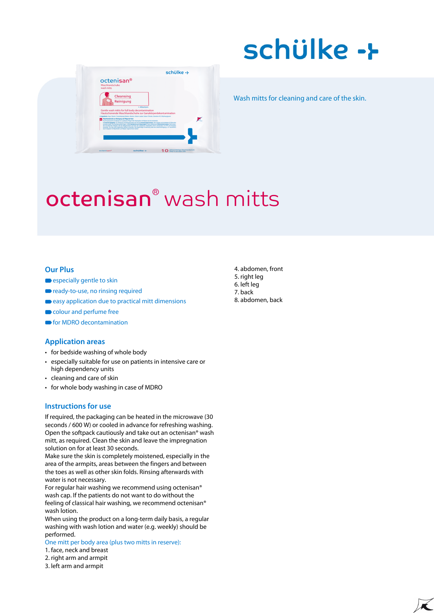# schülke ->



Wash mitts for cleaning and care of the skin.

## octenisan® wash mitts

#### **Our Plus**

- especially gentle to skin
- ready-to-use, no rinsing required
- easy application due to practical mitt dimensions
- colour and perfume free
- **•** for MDRO decontamination

#### **Application areas**

- for bedside washing of whole body
- especially suitable for use on patients in intensive care or high dependency units
- cleaning and care of skin
- for whole body washing in case of MDRO

#### **Instructions for use**

If required, the packaging can be heated in the microwave (30 seconds / 600 W) or cooled in advance for refreshing washing. Open the softpack cautiously and take out an octenisan® wash mitt, as required. Clean the skin and leave the impregnation solution on for at least 30 seconds.

Make sure the skin is completely moistened, especially in the area of the armpits, areas between the fingers and between the toes as well as other skin folds. Rinsing afterwards with water is not necessary.

For regular hair washing we recommend using octenisan® wash cap. If the patients do not want to do without the feeling of classical hair washing, we recommend octenisan® wash lotion.

When using the product on a long-term daily basis, a regular washing with wash lotion and water (e.g. weekly) should be performed.

#### One mitt per body area (plus two mitts in reserve):

- 1. face, neck and breast
- 2. right arm and armpit
- 3. left arm and armpit
- 4. abdomen, front
- 5. right leg
- 6. left leg
- 7. back
- 8. abdomen, back